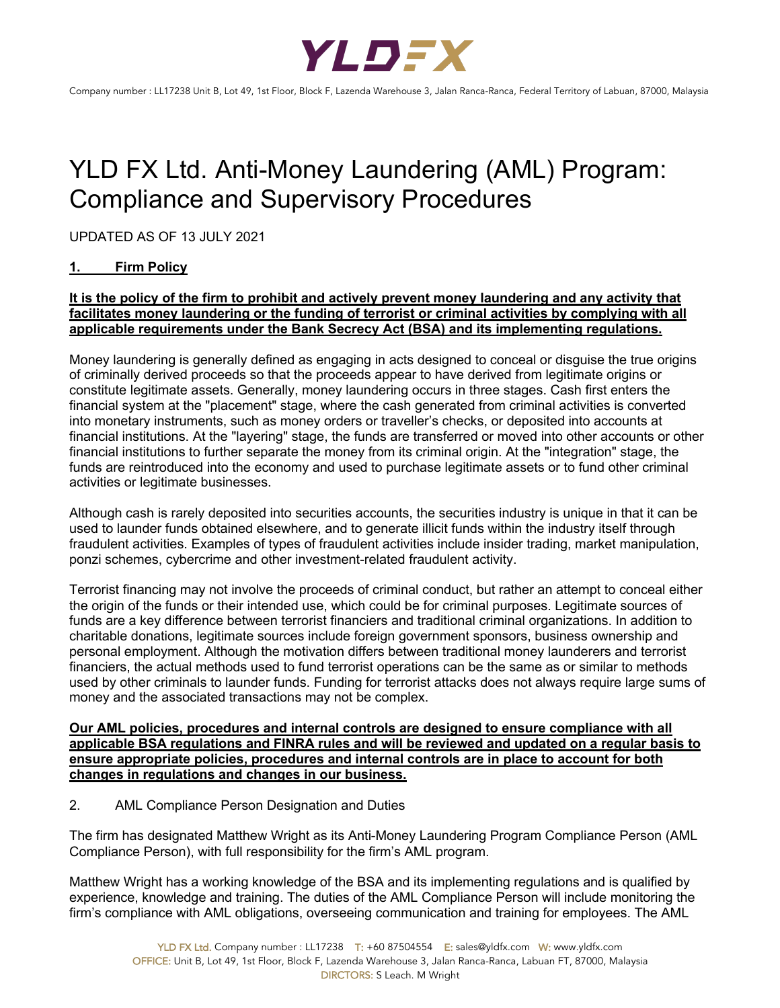

# YLD FX Ltd. Anti-Money Laundering (AML) Program: Compliance and Supervisory Procedures

UPDATED AS OF 13 JULY 2021

# **1. Firm Policy**

# **It is the policy of the firm to prohibit and actively prevent money laundering and any activity that facilitates money laundering or the funding of terrorist or criminal activities by complying with all applicable requirements under the Bank Secrecy Act (BSA) and its implementing regulations.**

Money laundering is generally defined as engaging in acts designed to conceal or disguise the true origins of criminally derived proceeds so that the proceeds appear to have derived from legitimate origins or constitute legitimate assets. Generally, money laundering occurs in three stages. Cash first enters the financial system at the "placement" stage, where the cash generated from criminal activities is converted into monetary instruments, such as money orders or traveller's checks, or deposited into accounts at financial institutions. At the "layering" stage, the funds are transferred or moved into other accounts or other financial institutions to further separate the money from its criminal origin. At the "integration" stage, the funds are reintroduced into the economy and used to purchase legitimate assets or to fund other criminal activities or legitimate businesses.

Although cash is rarely deposited into securities accounts, the securities industry is unique in that it can be used to launder funds obtained elsewhere, and to generate illicit funds within the industry itself through fraudulent activities. Examples of types of fraudulent activities include insider trading, market manipulation, ponzi schemes, cybercrime and other investment-related fraudulent activity.

Terrorist financing may not involve the proceeds of criminal conduct, but rather an attempt to conceal either the origin of the funds or their intended use, which could be for criminal purposes. Legitimate sources of funds are a key difference between terrorist financiers and traditional criminal organizations. In addition to charitable donations, legitimate sources include foreign government sponsors, business ownership and personal employment. Although the motivation differs between traditional money launderers and terrorist financiers, the actual methods used to fund terrorist operations can be the same as or similar to methods used by other criminals to launder funds. Funding for terrorist attacks does not always require large sums of money and the associated transactions may not be complex.

## **Our AML policies, procedures and internal controls are designed to ensure compliance with all applicable BSA regulations and FINRA rules and will be reviewed and updated on a regular basis to ensure appropriate policies, procedures and internal controls are in place to account for both changes in regulations and changes in our business.**

2. AML Compliance Person Designation and Duties

The firm has designated Matthew Wright as its Anti-Money Laundering Program Compliance Person (AML Compliance Person), with full responsibility for the firm's AML program.

Matthew Wright has a working knowledge of the BSA and its implementing regulations and is qualified by experience, knowledge and training. The duties of the AML Compliance Person will include monitoring the firm's compliance with AML obligations, overseeing communication and training for employees. The AML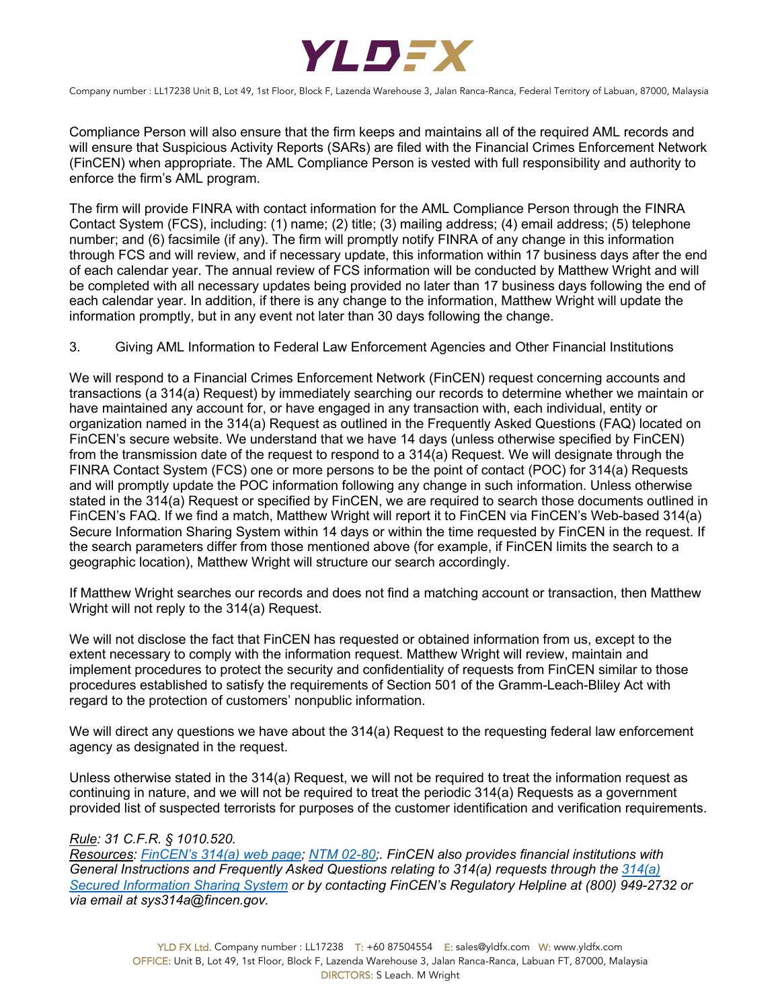

Compliance Person will also ensure that the firm keeps and maintains all of the required AML records and will ensure that Suspicious Activity Reports (SARs) are filed with the Financial Crimes Enforcement Network (FinCEN) when appropriate. The AML Compliance Person is vested with full responsibility and authority to enforce the firm's AML program.

The firm will provide FINRA with contact information for the AML Compliance Person through the FINRA Contact System (FCS), including: (1) name; (2) title; (3) mailing address; (4) email address; (5) telephone number; and (6) facsimile (if any). The firm will promptly notify FINRA of any change in this information through FCS and will review, and if necessary update, this information within 17 business days after the end of each calendar year. The annual review of FCS information will be conducted by Matthew Wright and will be completed with all necessary updates being provided no later than 17 business days following the end of each calendar year. In addition, if there is any change to the information, Matthew Wright will update the information promptly, but in any event not later than 30 days following the change.

## 3. Giving AML Information to Federal Law Enforcement Agencies and Other Financial Institutions

We will respond to a Financial Crimes Enforcement Network (FinCEN) request concerning accounts and transactions (a 314(a) Request) by immediately searching our records to determine whether we maintain or have maintained any account for, or have engaged in any transaction with, each individual, entity or organization named in the 314(a) Request as outlined in the Frequently Asked Questions (FAQ) located on FinCEN's secure website. We understand that we have 14 days (unless otherwise specified by FinCEN) from the transmission date of the request to respond to a 314(a) Request. We will designate through the FINRA Contact System (FCS) one or more persons to be the point of contact (POC) for 314(a) Requests and will promptly update the POC information following any change in such information. Unless otherwise stated in the 314(a) Request or specified by FinCEN, we are required to search those documents outlined in FinCEN's FAQ. If we find a match, Matthew Wright will report it to FinCEN via FinCEN's Web-based 314(a) Secure Information Sharing System within 14 days or within the time requested by FinCEN in the request. If the search parameters differ from those mentioned above (for example, if FinCEN limits the search to a geographic location), Matthew Wright will structure our search accordingly.

If Matthew Wright searches our records and does not find a matching account or transaction, then Matthew Wright will not reply to the 314(a) Request.

We will not disclose the fact that FinCEN has requested or obtained information from us, except to the extent necessary to comply with the information request. Matthew Wright will review, maintain and implement procedures to protect the security and confidentiality of requests from FinCEN similar to those procedures established to satisfy the requirements of Section 501 of the Gramm-Leach-Bliley Act with regard to the protection of customers' nonpublic information.

We will direct any questions we have about the 314(a) Request to the requesting federal law enforcement agency as designated in the request.

Unless otherwise stated in the 314(a) Request, we will not be required to treat the information request as continuing in nature, and we will not be required to treat the periodic 314(a) Requests as a government provided list of suspected terrorists for purposes of the customer identification and verification requirements.

#### *Rule: 31 C.F.R. § 1010.520.*

*Resources: FinCEN's 314(a) web page; NTM 02-80;. FinCEN also provides financial institutions with General Instructions and Frequently Asked Questions relating to 314(a) requests through the 314(a) Secured Information Sharing System or by contacting FinCEN's Regulatory Helpline at (800) 949-2732 or via email at sys314a@fincen.gov.*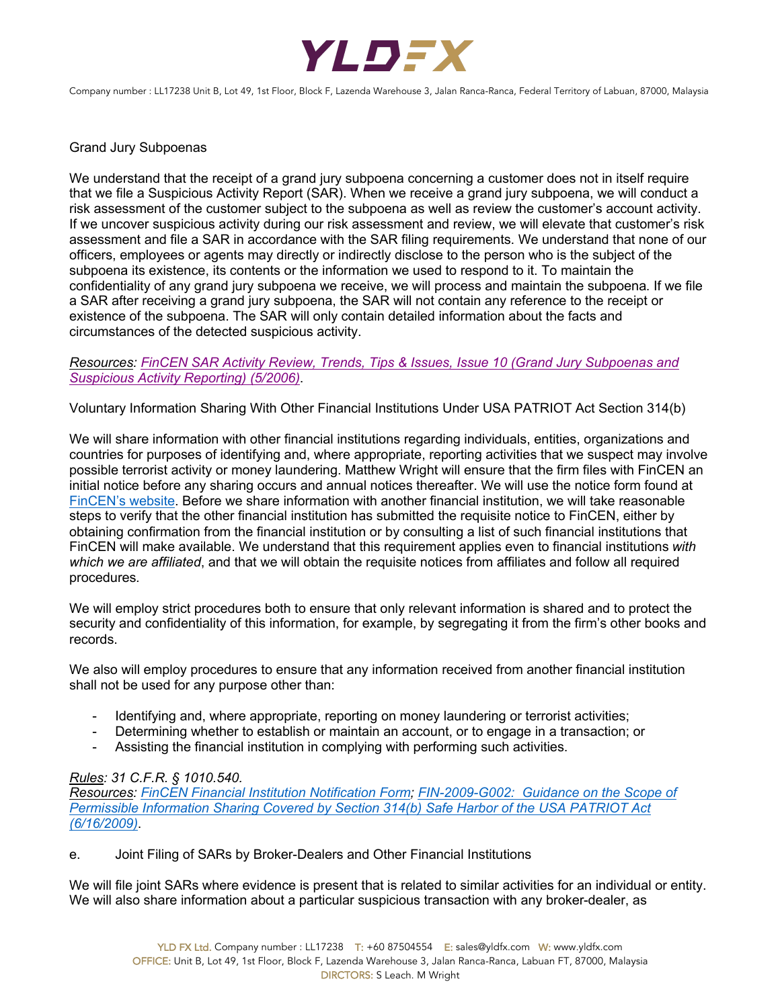

Grand Jury Subpoenas

We understand that the receipt of a grand jury subpoena concerning a customer does not in itself require that we file a Suspicious Activity Report (SAR). When we receive a grand jury subpoena, we will conduct a risk assessment of the customer subject to the subpoena as well as review the customer's account activity. If we uncover suspicious activity during our risk assessment and review, we will elevate that customer's risk assessment and file a SAR in accordance with the SAR filing requirements. We understand that none of our officers, employees or agents may directly or indirectly disclose to the person who is the subject of the subpoena its existence, its contents or the information we used to respond to it. To maintain the confidentiality of any grand jury subpoena we receive, we will process and maintain the subpoena. If we file a SAR after receiving a grand jury subpoena, the SAR will not contain any reference to the receipt or existence of the subpoena. The SAR will only contain detailed information about the facts and circumstances of the detected suspicious activity.

*Resources: FinCEN SAR Activity Review, Trends, Tips & Issues, Issue 10 (Grand Jury Subpoenas and Suspicious Activity Reporting) (5/2006)*.

Voluntary Information Sharing With Other Financial Institutions Under USA PATRIOT Act Section 314(b)

We will share information with other financial institutions regarding individuals, entities, organizations and countries for purposes of identifying and, where appropriate, reporting activities that we suspect may involve possible terrorist activity or money laundering. Matthew Wright will ensure that the firm files with FinCEN an initial notice before any sharing occurs and annual notices thereafter. We will use the notice form found at FinCEN's website. Before we share information with another financial institution, we will take reasonable steps to verify that the other financial institution has submitted the requisite notice to FinCEN, either by obtaining confirmation from the financial institution or by consulting a list of such financial institutions that FinCEN will make available. We understand that this requirement applies even to financial institutions *with which we are affiliated*, and that we will obtain the requisite notices from affiliates and follow all required procedures*.*

We will employ strict procedures both to ensure that only relevant information is shared and to protect the security and confidentiality of this information, for example, by segregating it from the firm's other books and records.

We also will employ procedures to ensure that any information received from another financial institution shall not be used for any purpose other than:

- Identifying and, where appropriate, reporting on money laundering or terrorist activities;
- Determining whether to establish or maintain an account, or to engage in a transaction; or
- Assisting the financial institution in complying with performing such activities.

# *Rules: 31 C.F.R. § 1010.540.*

*Resources: FinCEN Financial Institution Notification Form; FIN-2009-G002: Guidance on the Scope of Permissible Information Sharing Covered by Section 314(b) Safe Harbor of the USA PATRIOT Act (6/16/2009)*.

e. Joint Filing of SARs by Broker-Dealers and Other Financial Institutions

We will file joint SARs where evidence is present that is related to similar activities for an individual or entity. We will also share information about a particular suspicious transaction with any broker-dealer, as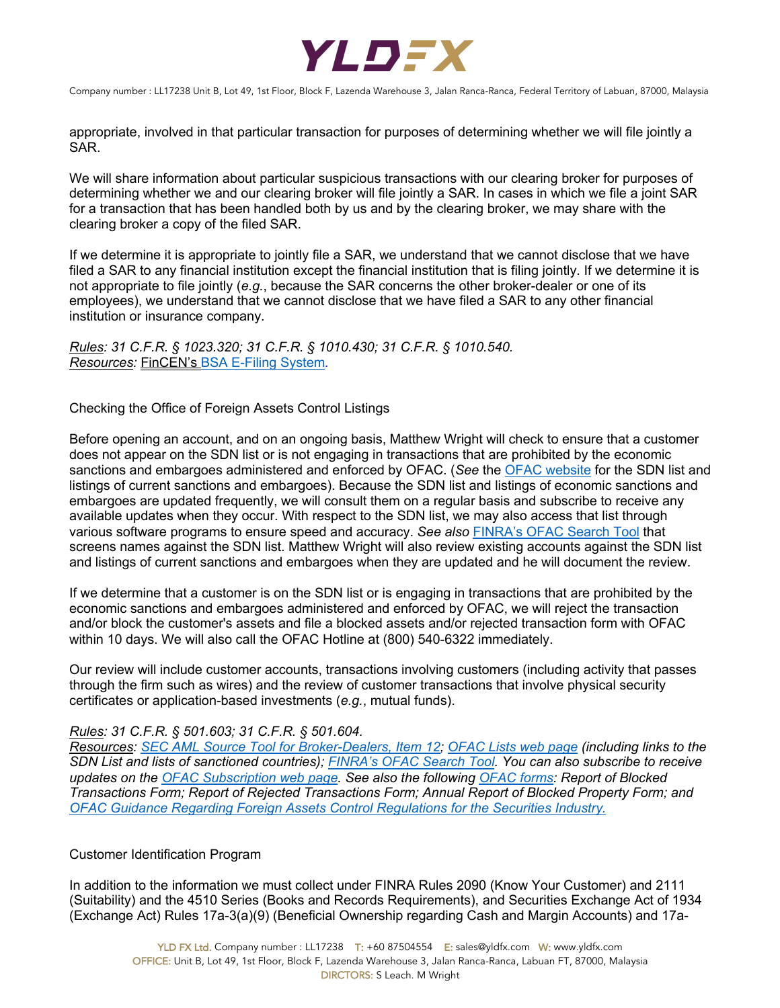

appropriate, involved in that particular transaction for purposes of determining whether we will file jointly a SAR.

We will share information about particular suspicious transactions with our clearing broker for purposes of determining whether we and our clearing broker will file jointly a SAR. In cases in which we file a joint SAR for a transaction that has been handled both by us and by the clearing broker, we may share with the clearing broker a copy of the filed SAR.

If we determine it is appropriate to jointly file a SAR, we understand that we cannot disclose that we have filed a SAR to any financial institution except the financial institution that is filing jointly. If we determine it is not appropriate to file jointly (*e.g.*, because the SAR concerns the other broker-dealer or one of its employees), we understand that we cannot disclose that we have filed a SAR to any other financial institution or insurance company.

*Rules: 31 C.F.R. § 1023.320; 31 C.F.R. § 1010.430; 31 C.F.R. § 1010.540. Resources:* FinCEN's BSA E-Filing System*.*

## Checking the Office of Foreign Assets Control Listings

Before opening an account, and on an ongoing basis, Matthew Wright will check to ensure that a customer does not appear on the SDN list or is not engaging in transactions that are prohibited by the economic sanctions and embargoes administered and enforced by OFAC. (*See* the OFAC website for the SDN list and listings of current sanctions and embargoes). Because the SDN list and listings of economic sanctions and embargoes are updated frequently, we will consult them on a regular basis and subscribe to receive any available updates when they occur. With respect to the SDN list, we may also access that list through various software programs to ensure speed and accuracy. *See also* FINRA's OFAC Search Tool that screens names against the SDN list. Matthew Wright will also review existing accounts against the SDN list and listings of current sanctions and embargoes when they are updated and he will document the review.

If we determine that a customer is on the SDN list or is engaging in transactions that are prohibited by the economic sanctions and embargoes administered and enforced by OFAC, we will reject the transaction and/or block the customer's assets and file a blocked assets and/or rejected transaction form with OFAC within 10 days. We will also call the OFAC Hotline at (800) 540-6322 immediately.

Our review will include customer accounts, transactions involving customers (including activity that passes through the firm such as wires) and the review of customer transactions that involve physical security certificates or application-based investments (*e.g.*, mutual funds).

# *Rules: 31 C.F.R. § 501.603; 31 C.F.R. § 501.604.*

*Resources: SEC AML Source Tool for Broker-Dealers, Item 12; OFAC Lists web page (including links to the SDN List and lists of sanctioned countries); FINRA's OFAC Search Tool. You can also subscribe to receive updates on the OFAC Subscription web page. See also the following OFAC forms: Report of Blocked Transactions Form; Report of Rejected Transactions Form; Annual Report of Blocked Property Form; and OFAC Guidance Regarding Foreign Assets Control Regulations for the Securities Industry.*

# Customer Identification Program

In addition to the information we must collect under FINRA Rules 2090 (Know Your Customer) and 2111 (Suitability) and the 4510 Series (Books and Records Requirements), and Securities Exchange Act of 1934 (Exchange Act) Rules 17a-3(a)(9) (Beneficial Ownership regarding Cash and Margin Accounts) and 17a-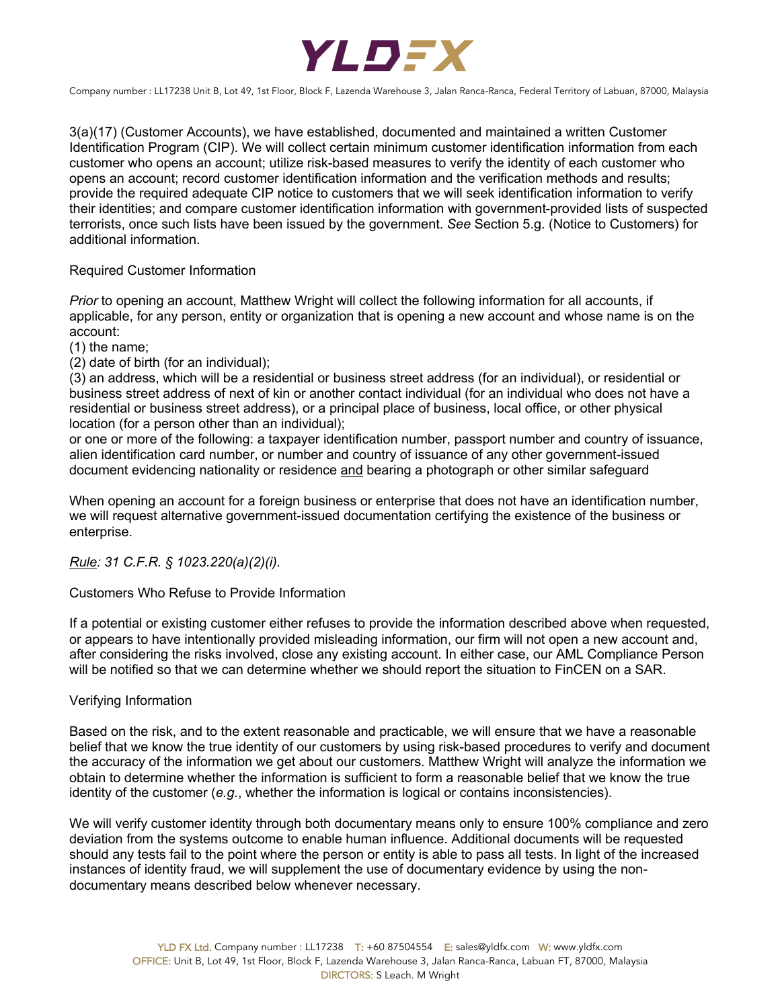

3(a)(17) (Customer Accounts), we have established, documented and maintained a written Customer Identification Program (CIP). We will collect certain minimum customer identification information from each customer who opens an account; utilize risk-based measures to verify the identity of each customer who opens an account; record customer identification information and the verification methods and results; provide the required adequate CIP notice to customers that we will seek identification information to verify their identities; and compare customer identification information with government-provided lists of suspected terrorists, once such lists have been issued by the government. *See* Section 5.g. (Notice to Customers) for additional information.

## Required Customer Information

*Prior* to opening an account, Matthew Wright will collect the following information for all accounts, if applicable, for any person, entity or organization that is opening a new account and whose name is on the account:

(1) the name;

(2) date of birth (for an individual);

(3) an address, which will be a residential or business street address (for an individual), or residential or business street address of next of kin or another contact individual (for an individual who does not have a residential or business street address), or a principal place of business, local office, or other physical location (for a person other than an individual);

or one or more of the following: a taxpayer identification number, passport number and country of issuance, alien identification card number, or number and country of issuance of any other government-issued document evidencing nationality or residence and bearing a photograph or other similar safeguard

When opening an account for a foreign business or enterprise that does not have an identification number, we will request alternative government-issued documentation certifying the existence of the business or enterprise.

# *Rule: 31 C.F.R. § 1023.220(a)(2)(i).*

#### Customers Who Refuse to Provide Information

If a potential or existing customer either refuses to provide the information described above when requested, or appears to have intentionally provided misleading information, our firm will not open a new account and, after considering the risks involved, close any existing account. In either case, our AML Compliance Person will be notified so that we can determine whether we should report the situation to FinCEN on a SAR.

#### Verifying Information

Based on the risk, and to the extent reasonable and practicable, we will ensure that we have a reasonable belief that we know the true identity of our customers by using risk-based procedures to verify and document the accuracy of the information we get about our customers. Matthew Wright will analyze the information we obtain to determine whether the information is sufficient to form a reasonable belief that we know the true identity of the customer (*e.g.*, whether the information is logical or contains inconsistencies).

We will verify customer identity through both documentary means only to ensure 100% compliance and zero deviation from the systems outcome to enable human influence. Additional documents will be requested should any tests fail to the point where the person or entity is able to pass all tests. In light of the increased instances of identity fraud, we will supplement the use of documentary evidence by using the nondocumentary means described below whenever necessary.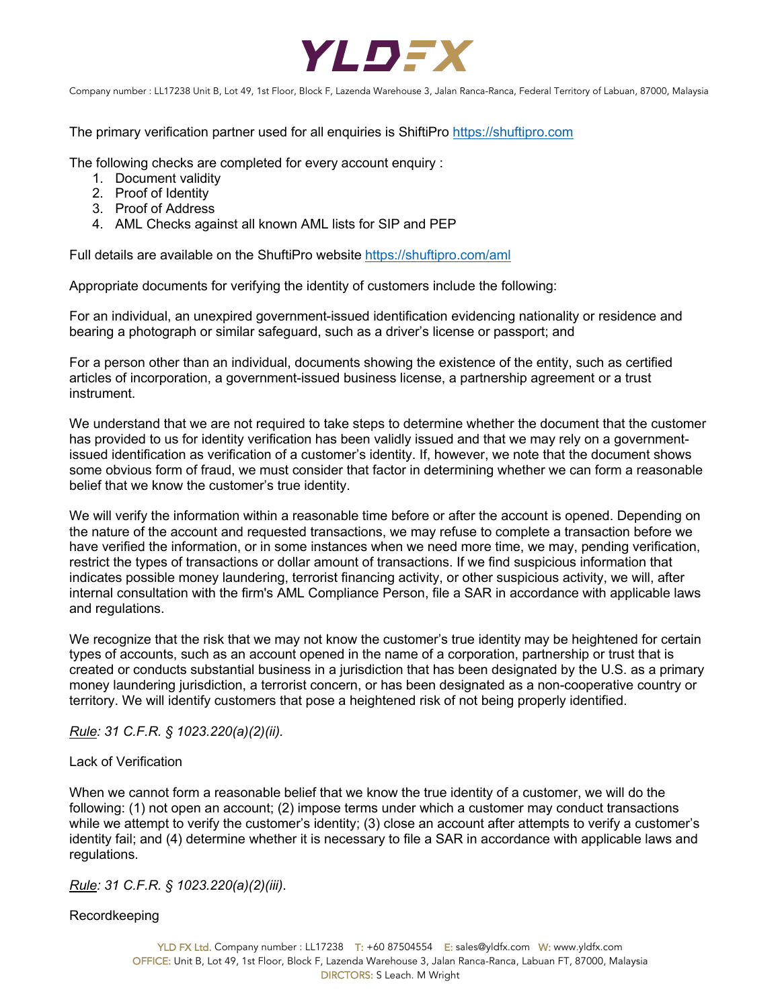

The primary verification partner used for all enquiries is ShiftiPro https://shuftipro.com

The following checks are completed for every account enquiry :

- 1. Document validity
- 2. Proof of Identity
- 3. Proof of Address
- 4. AML Checks against all known AML lists for SIP and PEP

Full details are available on the ShuftiPro website https://shuftipro.com/aml

Appropriate documents for verifying the identity of customers include the following:

For an individual, an unexpired government-issued identification evidencing nationality or residence and bearing a photograph or similar safeguard, such as a driver's license or passport; and

For a person other than an individual, documents showing the existence of the entity, such as certified articles of incorporation, a government-issued business license, a partnership agreement or a trust instrument.

We understand that we are not required to take steps to determine whether the document that the customer has provided to us for identity verification has been validly issued and that we may rely on a governmentissued identification as verification of a customer's identity. If, however, we note that the document shows some obvious form of fraud, we must consider that factor in determining whether we can form a reasonable belief that we know the customer's true identity.

We will verify the information within a reasonable time before or after the account is opened. Depending on the nature of the account and requested transactions, we may refuse to complete a transaction before we have verified the information, or in some instances when we need more time, we may, pending verification, restrict the types of transactions or dollar amount of transactions. If we find suspicious information that indicates possible money laundering, terrorist financing activity, or other suspicious activity, we will, after internal consultation with the firm's AML Compliance Person, file a SAR in accordance with applicable laws and regulations.

We recognize that the risk that we may not know the customer's true identity may be heightened for certain types of accounts, such as an account opened in the name of a corporation, partnership or trust that is created or conducts substantial business in a jurisdiction that has been designated by the U.S. as a primary money laundering jurisdiction, a terrorist concern, or has been designated as a non-cooperative country or territory. We will identify customers that pose a heightened risk of not being properly identified.

*Rule: 31 C.F.R. § 1023.220(a)(2)(ii).*

# Lack of Verification

When we cannot form a reasonable belief that we know the true identity of a customer, we will do the following: (1) not open an account; (2) impose terms under which a customer may conduct transactions while we attempt to verify the customer's identity; (3) close an account after attempts to verify a customer's identity fail; and (4) determine whether it is necessary to file a SAR in accordance with applicable laws and regulations.

*Rule: 31 C.F.R. § 1023.220(a)(2)(iii)*.

#### Recordkeeping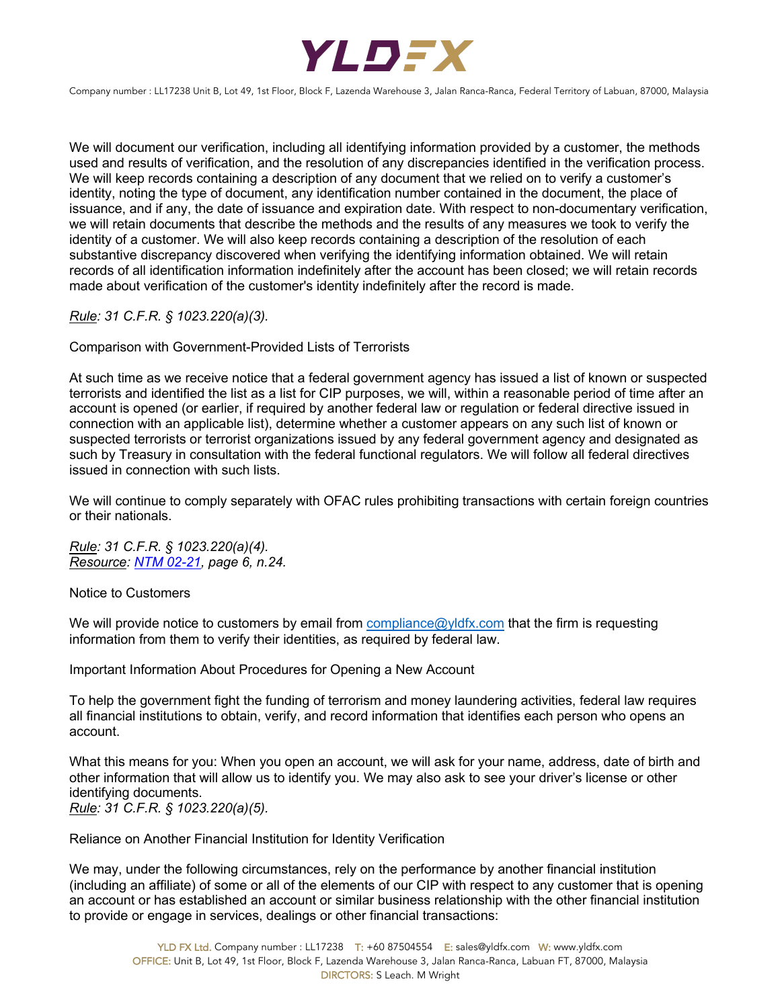

We will document our verification, including all identifying information provided by a customer, the methods used and results of verification, and the resolution of any discrepancies identified in the verification process. We will keep records containing a description of any document that we relied on to verify a customer's identity, noting the type of document, any identification number contained in the document, the place of issuance, and if any, the date of issuance and expiration date. With respect to non-documentary verification, we will retain documents that describe the methods and the results of any measures we took to verify the identity of a customer. We will also keep records containing a description of the resolution of each substantive discrepancy discovered when verifying the identifying information obtained. We will retain records of all identification information indefinitely after the account has been closed; we will retain records made about verification of the customer's identity indefinitely after the record is made.

*Rule: 31 C.F.R. § 1023.220(a)(3).*

Comparison with Government-Provided Lists of Terrorists

At such time as we receive notice that a federal government agency has issued a list of known or suspected terrorists and identified the list as a list for CIP purposes, we will, within a reasonable period of time after an account is opened (or earlier, if required by another federal law or regulation or federal directive issued in connection with an applicable list), determine whether a customer appears on any such list of known or suspected terrorists or terrorist organizations issued by any federal government agency and designated as such by Treasury in consultation with the federal functional regulators. We will follow all federal directives issued in connection with such lists.

We will continue to comply separately with OFAC rules prohibiting transactions with certain foreign countries or their nationals.

*Rule: 31 C.F.R. § 1023.220(a)(4). Resource: NTM 02-21, page 6, n.24.*

Notice to Customers

We will provide notice to customers by email from compliance@yldfx.com that the firm is requesting information from them to verify their identities, as required by federal law.

Important Information About Procedures for Opening a New Account

To help the government fight the funding of terrorism and money laundering activities, federal law requires all financial institutions to obtain, verify, and record information that identifies each person who opens an account.

What this means for you: When you open an account, we will ask for your name, address, date of birth and other information that will allow us to identify you. We may also ask to see your driver's license or other identifying documents. *Rule: 31 C.F.R. § 1023.220(a)(5).*

Reliance on Another Financial Institution for Identity Verification

We may, under the following circumstances, rely on the performance by another financial institution (including an affiliate) of some or all of the elements of our CIP with respect to any customer that is opening an account or has established an account or similar business relationship with the other financial institution to provide or engage in services, dealings or other financial transactions: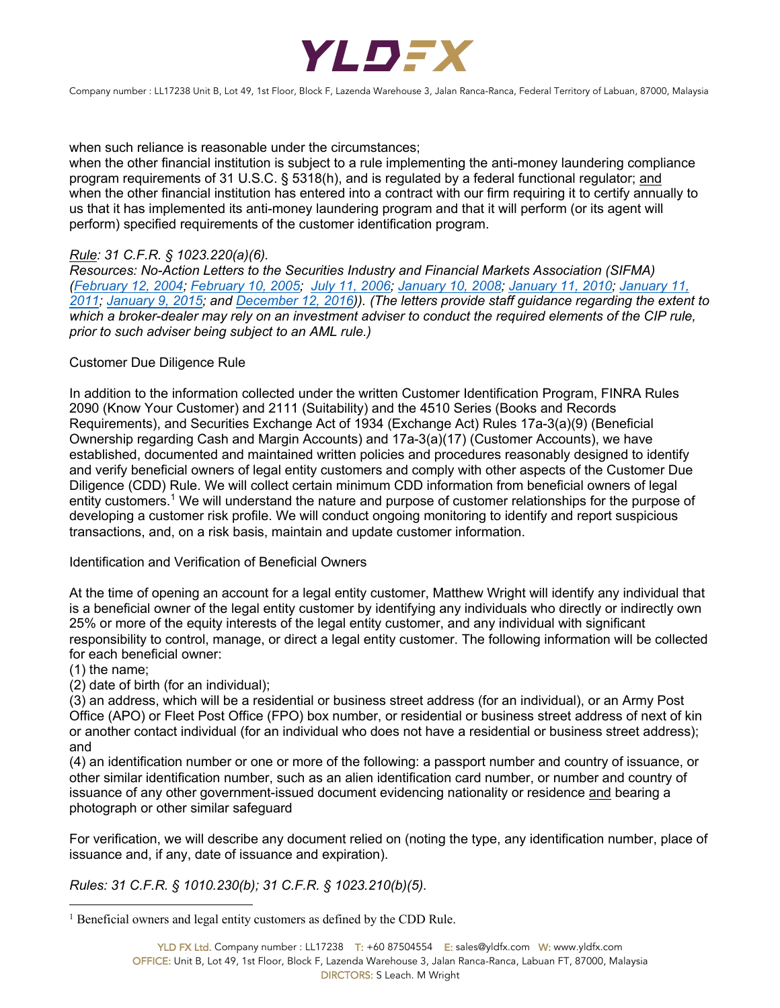

when such reliance is reasonable under the circumstances;

when the other financial institution is subject to a rule implementing the anti-money laundering compliance program requirements of 31 U.S.C. § 5318(h), and is regulated by a federal functional regulator; and when the other financial institution has entered into a contract with our firm requiring it to certify annually to us that it has implemented its anti-money laundering program and that it will perform (or its agent will perform) specified requirements of the customer identification program.

# *Rule: 31 C.F.R. § 1023.220(a)(6).*

*Resources: No-Action Letters to the Securities Industry and Financial Markets Association (SIFMA) (February 12, 2004; February 10, 2005; July 11, 2006; January 10, 2008; January 11, 2010; January 11, 2011; January 9, 2015; and December 12, 2016)). (The letters provide staff guidance regarding the extent to*  which a broker-dealer may rely on an investment adviser to conduct the required elements of the CIP rule, *prior to such adviser being subject to an AML rule.)*

# Customer Due Diligence Rule

In addition to the information collected under the written Customer Identification Program, FINRA Rules 2090 (Know Your Customer) and 2111 (Suitability) and the 4510 Series (Books and Records Requirements), and Securities Exchange Act of 1934 (Exchange Act) Rules 17a-3(a)(9) (Beneficial Ownership regarding Cash and Margin Accounts) and 17a-3(a)(17) (Customer Accounts), we have established, documented and maintained written policies and procedures reasonably designed to identify and verify beneficial owners of legal entity customers and comply with other aspects of the Customer Due Diligence (CDD) Rule. We will collect certain minimum CDD information from beneficial owners of legal entity customers.<sup>1</sup> We will understand the nature and purpose of customer relationships for the purpose of developing a customer risk profile. We will conduct ongoing monitoring to identify and report suspicious transactions, and, on a risk basis, maintain and update customer information.

# Identification and Verification of Beneficial Owners

At the time of opening an account for a legal entity customer, Matthew Wright will identify any individual that is a beneficial owner of the legal entity customer by identifying any individuals who directly or indirectly own 25% or more of the equity interests of the legal entity customer, and any individual with significant responsibility to control, manage, or direct a legal entity customer. The following information will be collected for each beneficial owner:

(1) the name;

(2) date of birth (for an individual);

(3) an address, which will be a residential or business street address (for an individual), or an Army Post Office (APO) or Fleet Post Office (FPO) box number, or residential or business street address of next of kin or another contact individual (for an individual who does not have a residential or business street address); and

(4) an identification number or one or more of the following: a passport number and country of issuance, or other similar identification number, such as an alien identification card number, or number and country of issuance of any other government-issued document evidencing nationality or residence and bearing a photograph or other similar safeguard

For verification, we will describe any document relied on (noting the type, any identification number, place of issuance and, if any, date of issuance and expiration).

*Rules: 31 C.F.R. § 1010.230(b); 31 C.F.R. § 1023.210(b)(5).*

 $1$  Beneficial owners and legal entity customers as defined by the CDD Rule.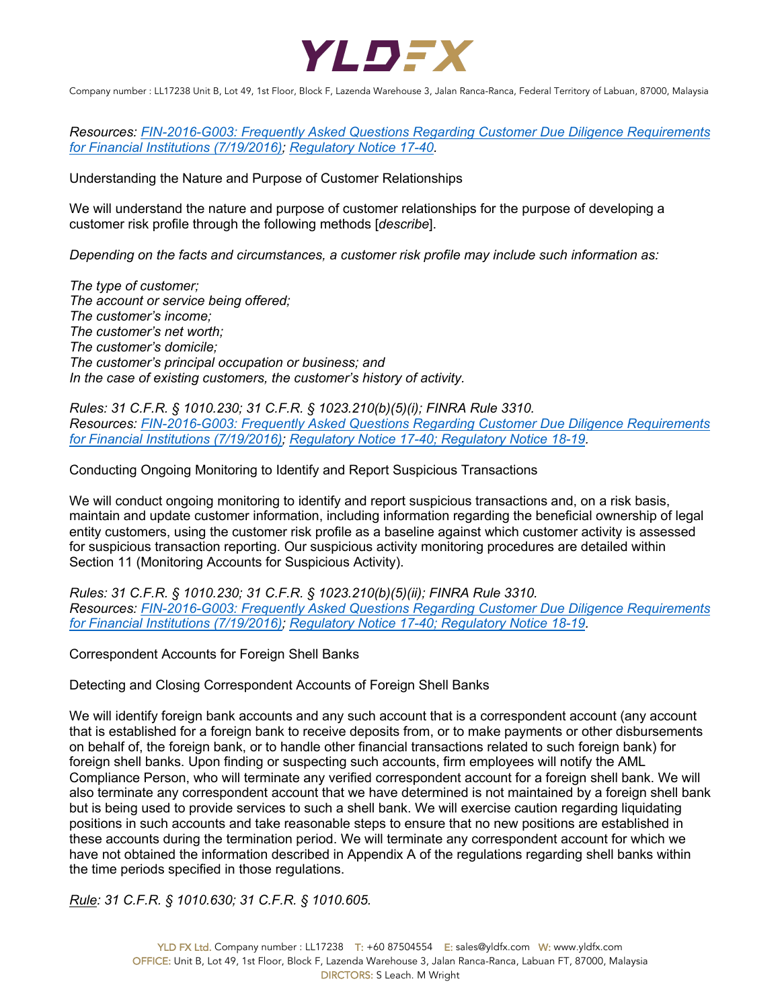

*Resources: FIN-2016-G003: Frequently Asked Questions Regarding Customer Due Diligence Requirements for Financial Institutions (7/19/2016); Regulatory Notice 17-40.*

Understanding the Nature and Purpose of Customer Relationships

We will understand the nature and purpose of customer relationships for the purpose of developing a customer risk profile through the following methods [*describe*].

*Depending on the facts and circumstances, a customer risk profile may include such information as:*

*The type of customer; The account or service being offered; The customer's income; The customer's net worth; The customer's domicile; The customer's principal occupation or business; and In the case of existing customers, the customer's history of activity.*

*Rules: 31 C.F.R. § 1010.230; 31 C.F.R. § 1023.210(b)(5)(i); FINRA Rule 3310. Resources: FIN-2016-G003: Frequently Asked Questions Regarding Customer Due Diligence Requirements for Financial Institutions (7/19/2016); Regulatory Notice 17-40; Regulatory Notice 18-19.*

Conducting Ongoing Monitoring to Identify and Report Suspicious Transactions

We will conduct ongoing monitoring to identify and report suspicious transactions and, on a risk basis, maintain and update customer information, including information regarding the beneficial ownership of legal entity customers, using the customer risk profile as a baseline against which customer activity is assessed for suspicious transaction reporting. Our suspicious activity monitoring procedures are detailed within Section 11 (Monitoring Accounts for Suspicious Activity).

*Rules: 31 C.F.R. § 1010.230; 31 C.F.R. § 1023.210(b)(5)(ii); FINRA Rule 3310. Resources: FIN-2016-G003: Frequently Asked Questions Regarding Customer Due Diligence Requirements for Financial Institutions (7/19/2016); Regulatory Notice 17-40; Regulatory Notice 18-19.*

Correspondent Accounts for Foreign Shell Banks

Detecting and Closing Correspondent Accounts of Foreign Shell Banks

We will identify foreign bank accounts and any such account that is a correspondent account (any account that is established for a foreign bank to receive deposits from, or to make payments or other disbursements on behalf of, the foreign bank, or to handle other financial transactions related to such foreign bank) for foreign shell banks. Upon finding or suspecting such accounts, firm employees will notify the AML Compliance Person, who will terminate any verified correspondent account for a foreign shell bank. We will also terminate any correspondent account that we have determined is not maintained by a foreign shell bank but is being used to provide services to such a shell bank. We will exercise caution regarding liquidating positions in such accounts and take reasonable steps to ensure that no new positions are established in these accounts during the termination period. We will terminate any correspondent account for which we have not obtained the information described in Appendix A of the regulations regarding shell banks within the time periods specified in those regulations.

*Rule: 31 C.F.R. § 1010.630; 31 C.F.R. § 1010.605.*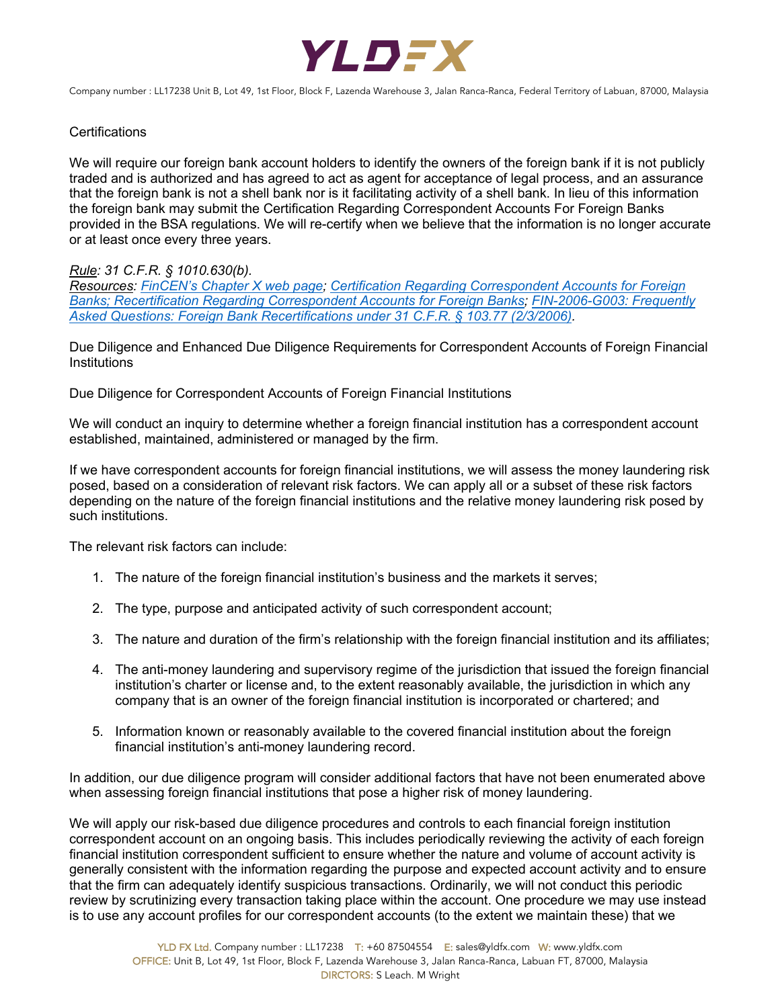

## **Certifications**

We will require our foreign bank account holders to identify the owners of the foreign bank if it is not publicly traded and is authorized and has agreed to act as agent for acceptance of legal process, and an assurance that the foreign bank is not a shell bank nor is it facilitating activity of a shell bank. In lieu of this information the foreign bank may submit the Certification Regarding Correspondent Accounts For Foreign Banks provided in the BSA regulations. We will re-certify when we believe that the information is no longer accurate or at least once every three years.

# *Rule: 31 C.F.R. § 1010.630(b).*

*Resources: FinCEN's Chapter X web page; Certification Regarding Correspondent Accounts for Foreign Banks; Recertification Regarding Correspondent Accounts for Foreign Banks; FIN-2006-G003: Frequently Asked Questions: Foreign Bank Recertifications under 31 C.F.R. § 103.77 (2/3/2006).*

Due Diligence and Enhanced Due Diligence Requirements for Correspondent Accounts of Foreign Financial Institutions

Due Diligence for Correspondent Accounts of Foreign Financial Institutions

We will conduct an inquiry to determine whether a foreign financial institution has a correspondent account established, maintained, administered or managed by the firm.

If we have correspondent accounts for foreign financial institutions, we will assess the money laundering risk posed, based on a consideration of relevant risk factors. We can apply all or a subset of these risk factors depending on the nature of the foreign financial institutions and the relative money laundering risk posed by such institutions.

The relevant risk factors can include:

- 1. The nature of the foreign financial institution's business and the markets it serves;
- 2. The type, purpose and anticipated activity of such correspondent account;
- 3. The nature and duration of the firm's relationship with the foreign financial institution and its affiliates;
- 4. The anti-money laundering and supervisory regime of the jurisdiction that issued the foreign financial institution's charter or license and, to the extent reasonably available, the jurisdiction in which any company that is an owner of the foreign financial institution is incorporated or chartered; and
- 5. Information known or reasonably available to the covered financial institution about the foreign financial institution's anti-money laundering record.

In addition, our due diligence program will consider additional factors that have not been enumerated above when assessing foreign financial institutions that pose a higher risk of money laundering.

We will apply our risk-based due diligence procedures and controls to each financial foreign institution correspondent account on an ongoing basis. This includes periodically reviewing the activity of each foreign financial institution correspondent sufficient to ensure whether the nature and volume of account activity is generally consistent with the information regarding the purpose and expected account activity and to ensure that the firm can adequately identify suspicious transactions. Ordinarily, we will not conduct this periodic review by scrutinizing every transaction taking place within the account. One procedure we may use instead is to use any account profiles for our correspondent accounts (to the extent we maintain these) that we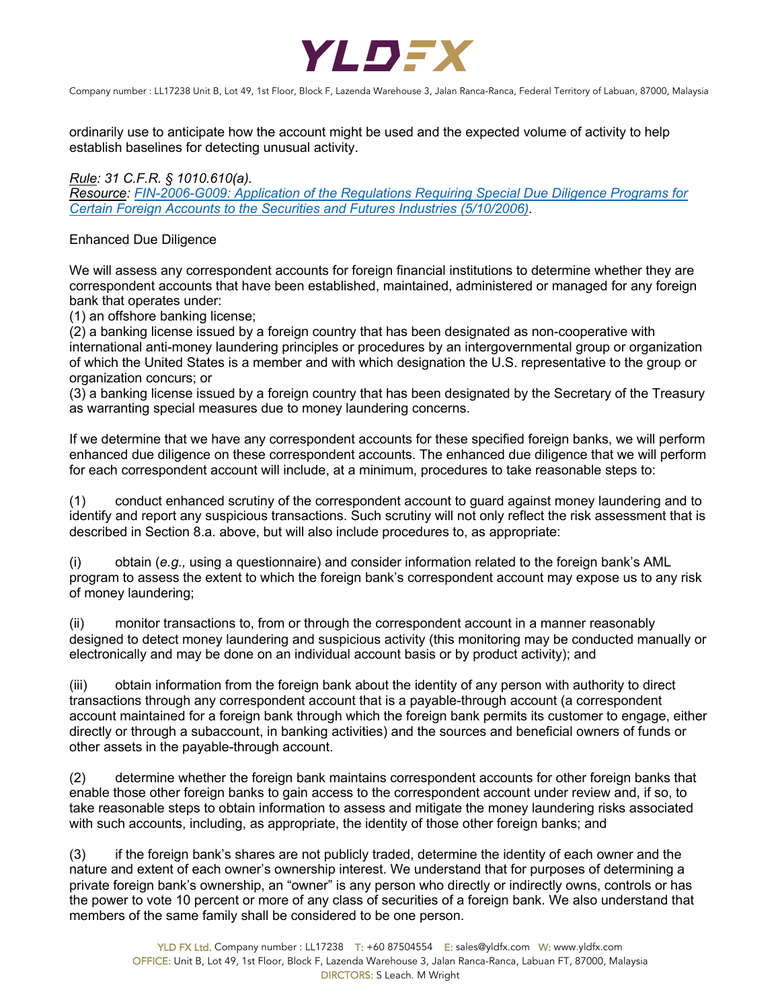

ordinarily use to anticipate how the account might be used and the expected volume of activity to help establish baselines for detecting unusual activity.

*Rule: 31 C.F.R. § 1010.610(a).*

*Resource: FIN-2006-G009: Application of the Regulations Requiring Special Due Diligence Programs for Certain Foreign Accounts to the Securities and Futures Industries (5/10/2006).* 

## Enhanced Due Diligence

We will assess any correspondent accounts for foreign financial institutions to determine whether they are correspondent accounts that have been established, maintained, administered or managed for any foreign bank that operates under:

(1) an offshore banking license;

(2) a banking license issued by a foreign country that has been designated as non-cooperative with international anti-money laundering principles or procedures by an intergovernmental group or organization of which the United States is a member and with which designation the U.S. representative to the group or organization concurs; or

(3) a banking license issued by a foreign country that has been designated by the Secretary of the Treasury as warranting special measures due to money laundering concerns.

If we determine that we have any correspondent accounts for these specified foreign banks, we will perform enhanced due diligence on these correspondent accounts. The enhanced due diligence that we will perform for each correspondent account will include, at a minimum, procedures to take reasonable steps to:

(1) conduct enhanced scrutiny of the correspondent account to guard against money laundering and to identify and report any suspicious transactions. Such scrutiny will not only reflect the risk assessment that is described in Section 8.a. above, but will also include procedures to, as appropriate:

(i) obtain (*e.g.,* using a questionnaire) and consider information related to the foreign bank's AML program to assess the extent to which the foreign bank's correspondent account may expose us to any risk of money laundering;

(ii) monitor transactions to, from or through the correspondent account in a manner reasonably designed to detect money laundering and suspicious activity (this monitoring may be conducted manually or electronically and may be done on an individual account basis or by product activity); and

(iii) obtain information from the foreign bank about the identity of any person with authority to direct transactions through any correspondent account that is a payable-through account (a correspondent account maintained for a foreign bank through which the foreign bank permits its customer to engage, either directly or through a subaccount, in banking activities) and the sources and beneficial owners of funds or other assets in the payable-through account.

(2) determine whether the foreign bank maintains correspondent accounts for other foreign banks that enable those other foreign banks to gain access to the correspondent account under review and, if so, to take reasonable steps to obtain information to assess and mitigate the money laundering risks associated with such accounts, including, as appropriate, the identity of those other foreign banks; and

(3) if the foreign bank's shares are not publicly traded, determine the identity of each owner and the nature and extent of each owner's ownership interest. We understand that for purposes of determining a private foreign bank's ownership, an "owner" is any person who directly or indirectly owns, controls or has the power to vote 10 percent or more of any class of securities of a foreign bank. We also understand that members of the same family shall be considered to be one person.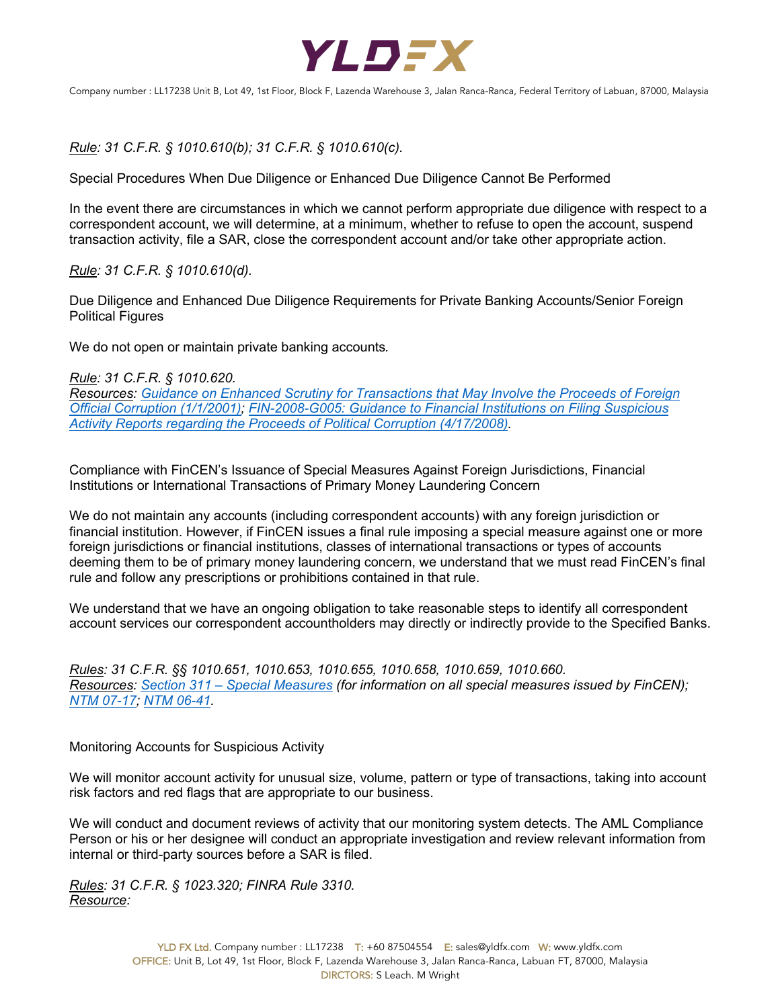

*Rule: 31 C.F.R. § 1010.610(b); 31 C.F.R. § 1010.610(c).*

Special Procedures When Due Diligence or Enhanced Due Diligence Cannot Be Performed

In the event there are circumstances in which we cannot perform appropriate due diligence with respect to a correspondent account, we will determine, at a minimum, whether to refuse to open the account, suspend transaction activity, file a SAR, close the correspondent account and/or take other appropriate action.

*Rule: 31 C.F.R. § 1010.610(d).*

Due Diligence and Enhanced Due Diligence Requirements for Private Banking Accounts/Senior Foreign Political Figures

We do not open or maintain private banking accounts*.*

*Rule: 31 C.F.R. § 1010.620. Resources: Guidance on Enhanced Scrutiny for Transactions that May Involve the Proceeds of Foreign Official Corruption (1/1/2001); FIN-2008-G005: Guidance to Financial Institutions on Filing Suspicious Activity Reports regarding the Proceeds of Political Corruption (4/17/2008).* 

Compliance with FinCEN's Issuance of Special Measures Against Foreign Jurisdictions, Financial Institutions or International Transactions of Primary Money Laundering Concern

We do not maintain any accounts (including correspondent accounts) with any foreign jurisdiction or financial institution. However, if FinCEN issues a final rule imposing a special measure against one or more foreign jurisdictions or financial institutions, classes of international transactions or types of accounts deeming them to be of primary money laundering concern, we understand that we must read FinCEN's final rule and follow any prescriptions or prohibitions contained in that rule.

We understand that we have an ongoing obligation to take reasonable steps to identify all correspondent account services our correspondent accountholders may directly or indirectly provide to the Specified Banks.

*Rules: 31 C.F.R. §§ 1010.651, 1010.653, 1010.655, 1010.658, 1010.659, 1010.660. Resources: Section 311 – Special Measures (for information on all special measures issued by FinCEN); NTM 07-17; NTM 06-41.* 

Monitoring Accounts for Suspicious Activity

We will monitor account activity for unusual size, volume, pattern or type of transactions, taking into account risk factors and red flags that are appropriate to our business.

We will conduct and document reviews of activity that our monitoring system detects. The AML Compliance Person or his or her designee will conduct an appropriate investigation and review relevant information from internal or third-party sources before a SAR is filed.

*Rules: 31 C.F.R. § 1023.320; FINRA Rule 3310. Resource:*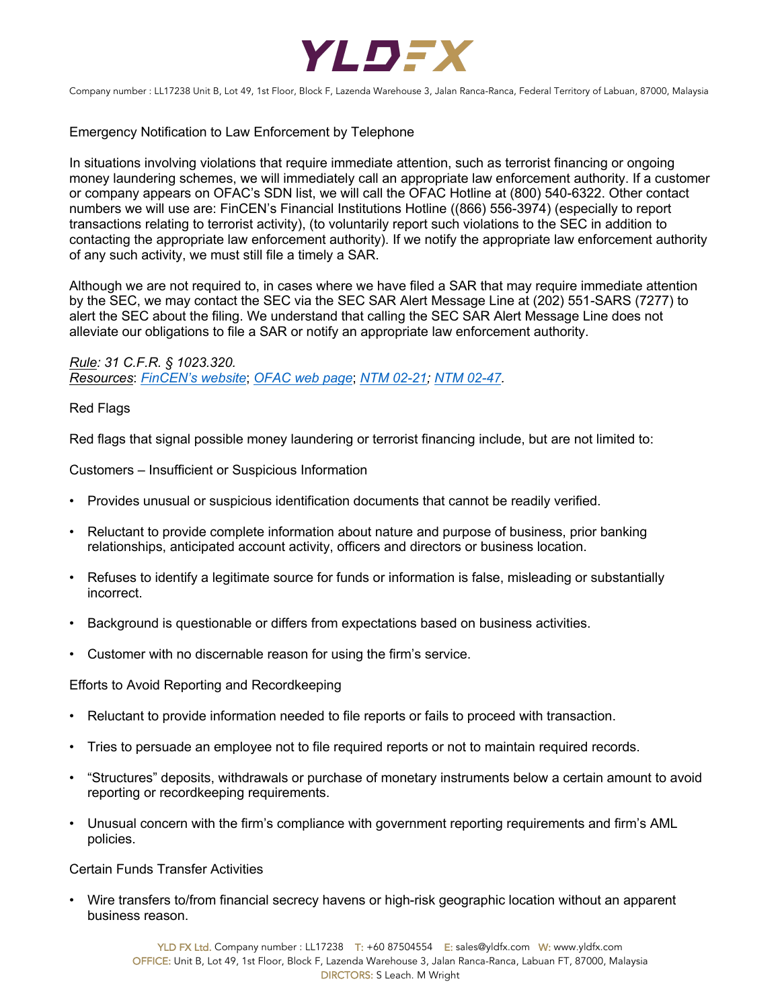

Emergency Notification to Law Enforcement by Telephone

In situations involving violations that require immediate attention, such as terrorist financing or ongoing money laundering schemes, we will immediately call an appropriate law enforcement authority. If a customer or company appears on OFAC's SDN list, we will call the OFAC Hotline at (800) 540-6322. Other contact numbers we will use are: FinCEN's Financial Institutions Hotline ((866) 556-3974) (especially to report transactions relating to terrorist activity), (to voluntarily report such violations to the SEC in addition to contacting the appropriate law enforcement authority). If we notify the appropriate law enforcement authority of any such activity, we must still file a timely a SAR.

Although we are not required to, in cases where we have filed a SAR that may require immediate attention by the SEC, we may contact the SEC via the SEC SAR Alert Message Line at (202) 551-SARS (7277) to alert the SEC about the filing. We understand that calling the SEC SAR Alert Message Line does not alleviate our obligations to file a SAR or notify an appropriate law enforcement authority.

*Rule: 31 C.F.R. § 1023.320. Resources*: *FinCEN's website*; *OFAC web page*; *NTM 02-21; NTM 02-47.*

Red Flags

Red flags that signal possible money laundering or terrorist financing include, but are not limited to:

Customers – Insufficient or Suspicious Information

- Provides unusual or suspicious identification documents that cannot be readily verified.
- Reluctant to provide complete information about nature and purpose of business, prior banking relationships, anticipated account activity, officers and directors or business location.
- Refuses to identify a legitimate source for funds or information is false, misleading or substantially incorrect.
- Background is questionable or differs from expectations based on business activities.
- Customer with no discernable reason for using the firm's service.

Efforts to Avoid Reporting and Recordkeeping

- Reluctant to provide information needed to file reports or fails to proceed with transaction.
- Tries to persuade an employee not to file required reports or not to maintain required records.
- "Structures" deposits, withdrawals or purchase of monetary instruments below a certain amount to avoid reporting or recordkeeping requirements.
- Unusual concern with the firm's compliance with government reporting requirements and firm's AML policies.

Certain Funds Transfer Activities

• Wire transfers to/from financial secrecy havens or high-risk geographic location without an apparent business reason.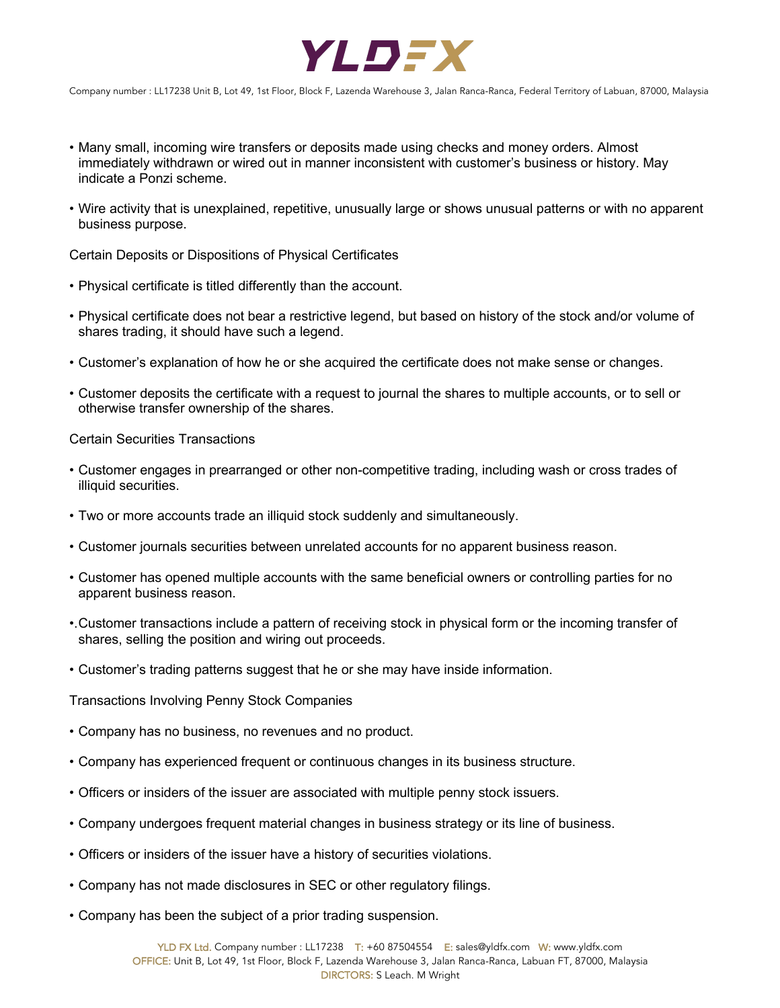

- Many small, incoming wire transfers or deposits made using checks and money orders. Almost immediately withdrawn or wired out in manner inconsistent with customer's business or history. May indicate a Ponzi scheme.
- Wire activity that is unexplained, repetitive, unusually large or shows unusual patterns or with no apparent business purpose.

Certain Deposits or Dispositions of Physical Certificates

- Physical certificate is titled differently than the account.
- Physical certificate does not bear a restrictive legend, but based on history of the stock and/or volume of shares trading, it should have such a legend.
- Customer's explanation of how he or she acquired the certificate does not make sense or changes.
- Customer deposits the certificate with a request to journal the shares to multiple accounts, or to sell or otherwise transfer ownership of the shares.

#### Certain Securities Transactions

- Customer engages in prearranged or other non-competitive trading, including wash or cross trades of illiquid securities.
- Two or more accounts trade an illiquid stock suddenly and simultaneously.
- Customer journals securities between unrelated accounts for no apparent business reason.
- Customer has opened multiple accounts with the same beneficial owners or controlling parties for no apparent business reason.
- •.Customer transactions include a pattern of receiving stock in physical form or the incoming transfer of shares, selling the position and wiring out proceeds.
- Customer's trading patterns suggest that he or she may have inside information.

Transactions Involving Penny Stock Companies

- Company has no business, no revenues and no product.
- Company has experienced frequent or continuous changes in its business structure.
- Officers or insiders of the issuer are associated with multiple penny stock issuers.
- Company undergoes frequent material changes in business strategy or its line of business.
- Officers or insiders of the issuer have a history of securities violations.
- Company has not made disclosures in SEC or other regulatory filings.
- Company has been the subject of a prior trading suspension.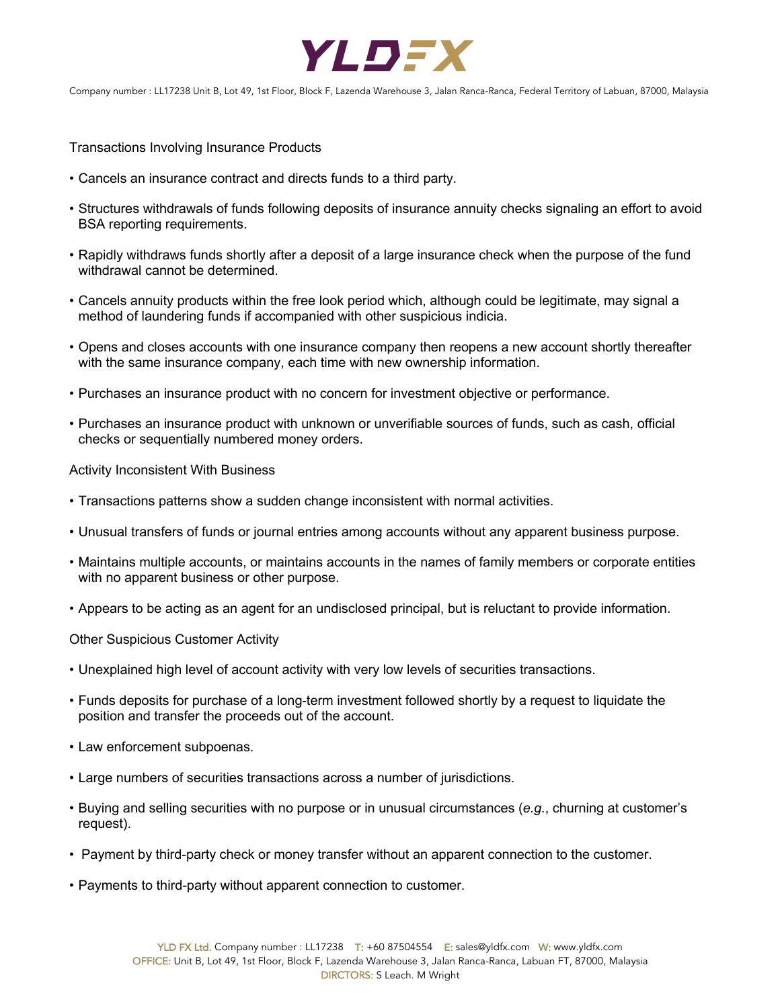

Transactions Involving Insurance Products

- Cancels an insurance contract and directs funds to a third party.
- Structures withdrawals of funds following deposits of insurance annuity checks signaling an effort to avoid BSA reporting requirements.
- Rapidly withdraws funds shortly after a deposit of a large insurance check when the purpose of the fund withdrawal cannot be determined.
- Cancels annuity products within the free look period which, although could be legitimate, may signal a method of laundering funds if accompanied with other suspicious indicia.
- Opens and closes accounts with one insurance company then reopens a new account shortly thereafter with the same insurance company, each time with new ownership information.
- Purchases an insurance product with no concern for investment objective or performance.
- Purchases an insurance product with unknown or unverifiable sources of funds, such as cash, official checks or sequentially numbered money orders.

Activity Inconsistent With Business

- Transactions patterns show a sudden change inconsistent with normal activities.
- Unusual transfers of funds or journal entries among accounts without any apparent business purpose.
- Maintains multiple accounts, or maintains accounts in the names of family members or corporate entities with no apparent business or other purpose.
- Appears to be acting as an agent for an undisclosed principal, but is reluctant to provide information.

Other Suspicious Customer Activity

- Unexplained high level of account activity with very low levels of securities transactions.
- Funds deposits for purchase of a long-term investment followed shortly by a request to liquidate the position and transfer the proceeds out of the account.
- Law enforcement subpoenas.
- Large numbers of securities transactions across a number of jurisdictions.
- Buying and selling securities with no purpose or in unusual circumstances (*e.g.*, churning at customer's request).
- Payment by third-party check or money transfer without an apparent connection to the customer.
- Payments to third-party without apparent connection to customer.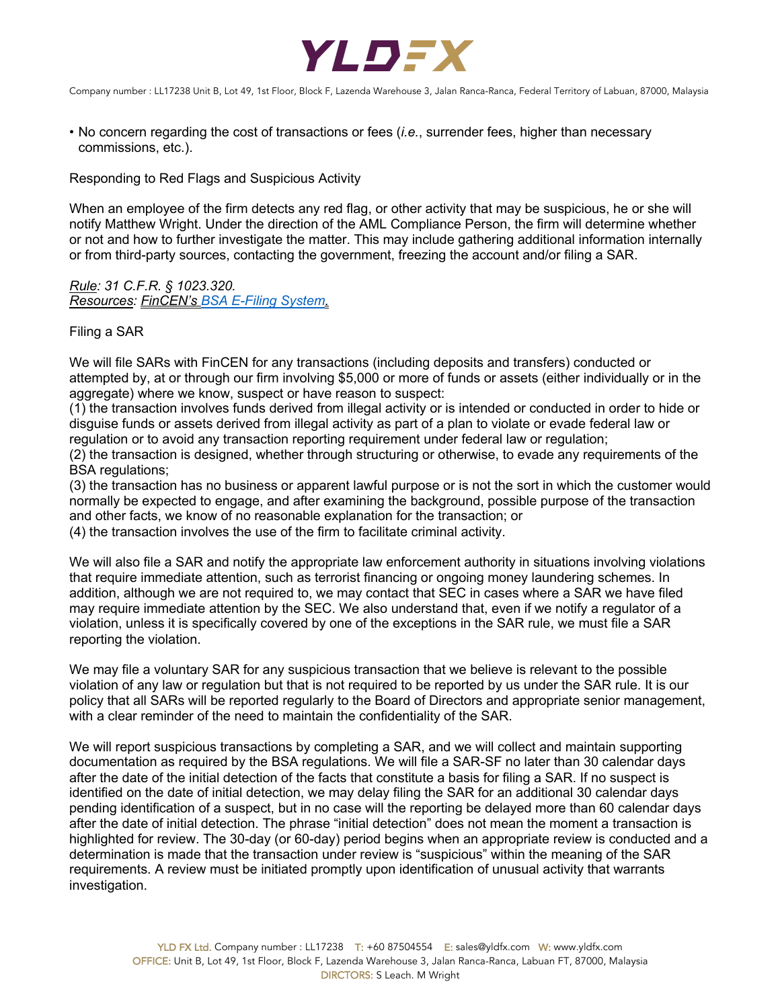

• No concern regarding the cost of transactions or fees (*i.e.*, surrender fees, higher than necessary commissions, etc.).

Responding to Red Flags and Suspicious Activity

When an employee of the firm detects any red flag, or other activity that may be suspicious, he or she will notify Matthew Wright. Under the direction of the AML Compliance Person, the firm will determine whether or not and how to further investigate the matter. This may include gathering additional information internally or from third-party sources, contacting the government, freezing the account and/or filing a SAR.

*Rule: 31 C.F.R. § 1023.320. Resources: FinCEN's BSA E-Filing System.*

Filing a SAR

We will file SARs with FinCEN for any transactions (including deposits and transfers) conducted or attempted by, at or through our firm involving \$5,000 or more of funds or assets (either individually or in the aggregate) where we know, suspect or have reason to suspect:

(1) the transaction involves funds derived from illegal activity or is intended or conducted in order to hide or disguise funds or assets derived from illegal activity as part of a plan to violate or evade federal law or regulation or to avoid any transaction reporting requirement under federal law or regulation;

(2) the transaction is designed, whether through structuring or otherwise, to evade any requirements of the BSA regulations;

(3) the transaction has no business or apparent lawful purpose or is not the sort in which the customer would normally be expected to engage, and after examining the background, possible purpose of the transaction and other facts, we know of no reasonable explanation for the transaction; or

(4) the transaction involves the use of the firm to facilitate criminal activity.

We will also file a SAR and notify the appropriate law enforcement authority in situations involving violations that require immediate attention, such as terrorist financing or ongoing money laundering schemes. In addition, although we are not required to, we may contact that SEC in cases where a SAR we have filed may require immediate attention by the SEC. We also understand that, even if we notify a regulator of a violation, unless it is specifically covered by one of the exceptions in the SAR rule, we must file a SAR reporting the violation.

We may file a voluntary SAR for any suspicious transaction that we believe is relevant to the possible violation of any law or regulation but that is not required to be reported by us under the SAR rule. It is our policy that all SARs will be reported regularly to the Board of Directors and appropriate senior management, with a clear reminder of the need to maintain the confidentiality of the SAR.

We will report suspicious transactions by completing a SAR, and we will collect and maintain supporting documentation as required by the BSA regulations. We will file a SAR-SF no later than 30 calendar days after the date of the initial detection of the facts that constitute a basis for filing a SAR. If no suspect is identified on the date of initial detection, we may delay filing the SAR for an additional 30 calendar days pending identification of a suspect, but in no case will the reporting be delayed more than 60 calendar days after the date of initial detection. The phrase "initial detection" does not mean the moment a transaction is highlighted for review. The 30-day (or 60-day) period begins when an appropriate review is conducted and a determination is made that the transaction under review is "suspicious" within the meaning of the SAR requirements. A review must be initiated promptly upon identification of unusual activity that warrants investigation.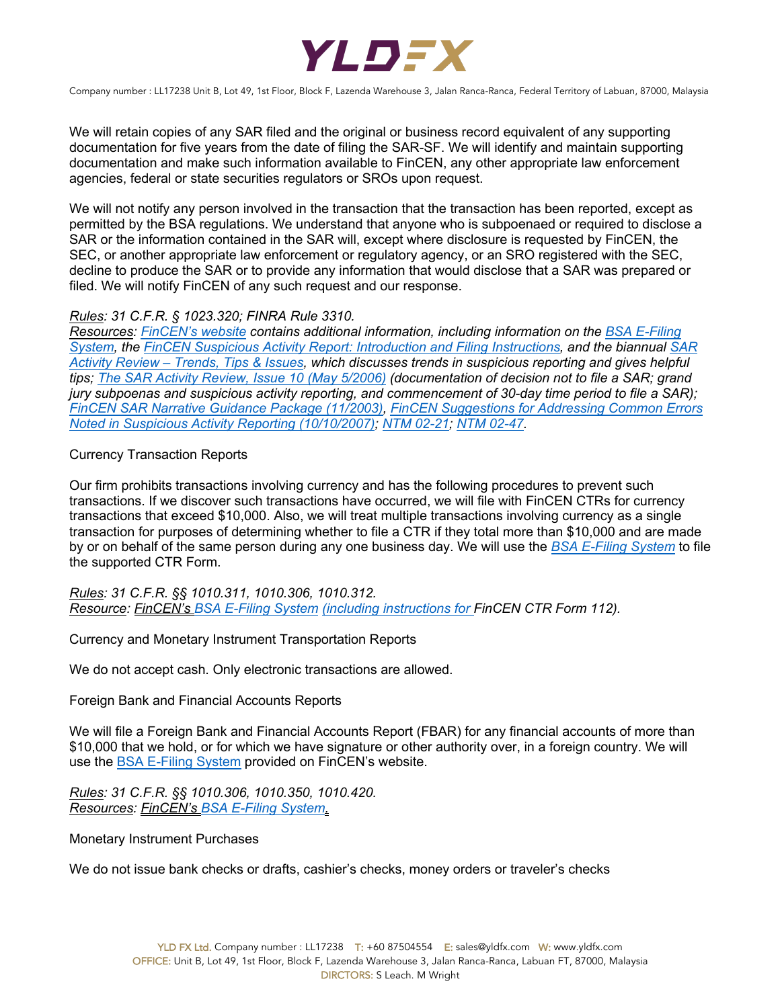

We will retain copies of any SAR filed and the original or business record equivalent of any supporting documentation for five years from the date of filing the SAR-SF. We will identify and maintain supporting documentation and make such information available to FinCEN, any other appropriate law enforcement agencies, federal or state securities regulators or SROs upon request.

We will not notify any person involved in the transaction that the transaction has been reported, except as permitted by the BSA regulations. We understand that anyone who is subpoenaed or required to disclose a SAR or the information contained in the SAR will, except where disclosure is requested by FinCEN, the SEC, or another appropriate law enforcement or regulatory agency, or an SRO registered with the SEC, decline to produce the SAR or to provide any information that would disclose that a SAR was prepared or filed. We will notify FinCEN of any such request and our response.

## *Rules: 31 C.F.R. § 1023.320; FINRA Rule 3310.*

*Resources: FinCEN's website contains additional information, including information on the BSA E-Filing System, the FinCEN Suspicious Activity Report: Introduction and Filing Instructions, and the biannual SAR Activity Review – Trends, Tips & Issues, which discusses trends in suspicious reporting and gives helpful tips; The SAR Activity Review, Issue 10 (May 5/2006) (documentation of decision not to file a SAR; grand jury subpoenas and suspicious activity reporting, and commencement of 30-day time period to file a SAR); FinCEN SAR Narrative Guidance Package (11/2003), FinCEN Suggestions for Addressing Common Errors Noted in Suspicious Activity Reporting (10/10/2007); NTM 02-21; NTM 02-47.*

## Currency Transaction Reports

Our firm prohibits transactions involving currency and has the following procedures to prevent such transactions. If we discover such transactions have occurred, we will file with FinCEN CTRs for currency transactions that exceed \$10,000. Also, we will treat multiple transactions involving currency as a single transaction for purposes of determining whether to file a CTR if they total more than \$10,000 and are made by or on behalf of the same person during any one business day. We will use the *BSA E-Filing System* to file the supported CTR Form.

*Rules: 31 C.F.R. §§ 1010.311, 1010.306, 1010.312. Resource: FinCEN's BSA E-Filing System (including instructions for FinCEN CTR Form 112).*

Currency and Monetary Instrument Transportation Reports

We do not accept cash. Only electronic transactions are allowed.

Foreign Bank and Financial Accounts Reports

We will file a Foreign Bank and Financial Accounts Report (FBAR) for any financial accounts of more than \$10,000 that we hold, or for which we have signature or other authority over, in a foreign country. We will use the BSA E-Filing System provided on FinCEN's website.

*Rules: 31 C.F.R. §§ 1010.306, 1010.350, 1010.420. Resources: FinCEN's BSA E-Filing System.*

Monetary Instrument Purchases

We do not issue bank checks or drafts, cashier's checks, money orders or traveler's checks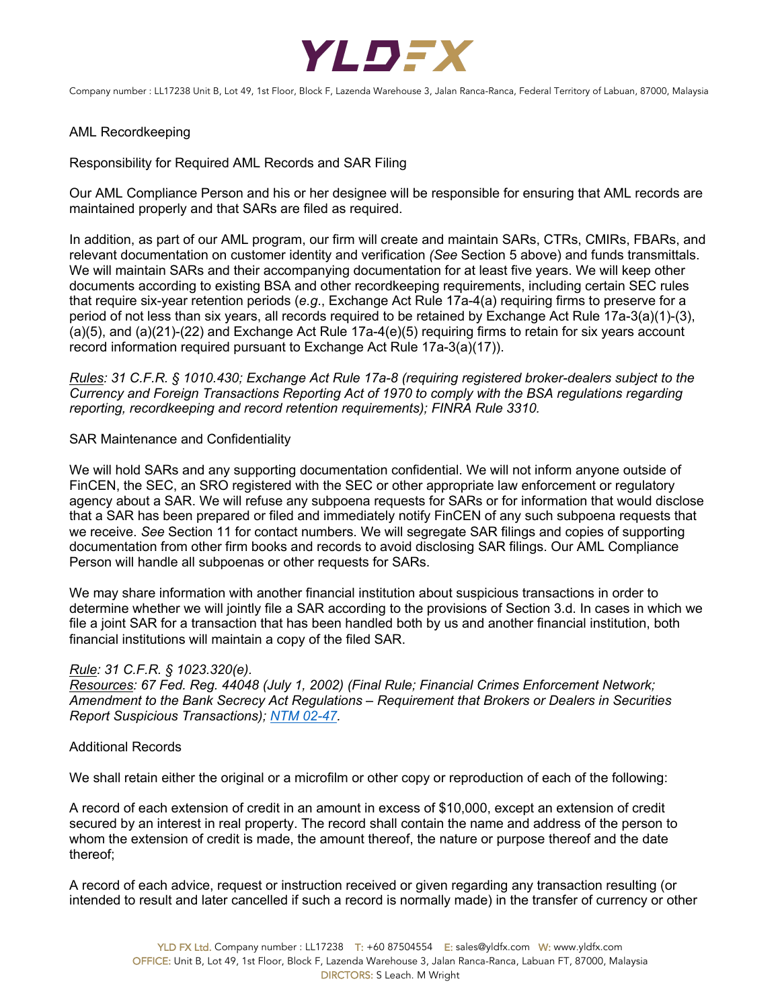

## AML Recordkeeping

Responsibility for Required AML Records and SAR Filing

Our AML Compliance Person and his or her designee will be responsible for ensuring that AML records are maintained properly and that SARs are filed as required.

In addition, as part of our AML program, our firm will create and maintain SARs, CTRs, CMIRs, FBARs, and relevant documentation on customer identity and verification *(See* Section 5 above) and funds transmittals. We will maintain SARs and their accompanying documentation for at least five years. We will keep other documents according to existing BSA and other recordkeeping requirements, including certain SEC rules that require six-year retention periods (*e.g*., Exchange Act Rule 17a-4(a) requiring firms to preserve for a period of not less than six years, all records required to be retained by Exchange Act Rule 17a-3(a)(1)-(3), (a)(5), and (a)(21)-(22) and Exchange Act Rule 17a-4(e)(5) requiring firms to retain for six years account record information required pursuant to Exchange Act Rule 17a-3(a)(17)).

*Rules: 31 C.F.R. § 1010.430; Exchange Act Rule 17a-8 (requiring registered broker-dealers subject to the Currency and Foreign Transactions Reporting Act of 1970 to comply with the BSA regulations regarding reporting, recordkeeping and record retention requirements); FINRA Rule 3310.*

#### SAR Maintenance and Confidentiality

We will hold SARs and any supporting documentation confidential. We will not inform anyone outside of FinCEN, the SEC, an SRO registered with the SEC or other appropriate law enforcement or regulatory agency about a SAR. We will refuse any subpoena requests for SARs or for information that would disclose that a SAR has been prepared or filed and immediately notify FinCEN of any such subpoena requests that we receive. *See* Section 11 for contact numbers. We will segregate SAR filings and copies of supporting documentation from other firm books and records to avoid disclosing SAR filings. Our AML Compliance Person will handle all subpoenas or other requests for SARs.

We may share information with another financial institution about suspicious transactions in order to determine whether we will jointly file a SAR according to the provisions of Section 3.d. In cases in which we file a joint SAR for a transaction that has been handled both by us and another financial institution, both financial institutions will maintain a copy of the filed SAR.

#### *Rule: 31 C.F.R. § 1023.320(e).*

*Resources: 67 Fed. Reg. 44048 (July 1, 2002) (Final Rule; Financial Crimes Enforcement Network; Amendment to the Bank Secrecy Act Regulations – Requirement that Brokers or Dealers in Securities Report Suspicious Transactions); NTM 02-47.* 

#### Additional Records

We shall retain either the original or a microfilm or other copy or reproduction of each of the following:

A record of each extension of credit in an amount in excess of \$10,000, except an extension of credit secured by an interest in real property. The record shall contain the name and address of the person to whom the extension of credit is made, the amount thereof, the nature or purpose thereof and the date thereof;

A record of each advice, request or instruction received or given regarding any transaction resulting (or intended to result and later cancelled if such a record is normally made) in the transfer of currency or other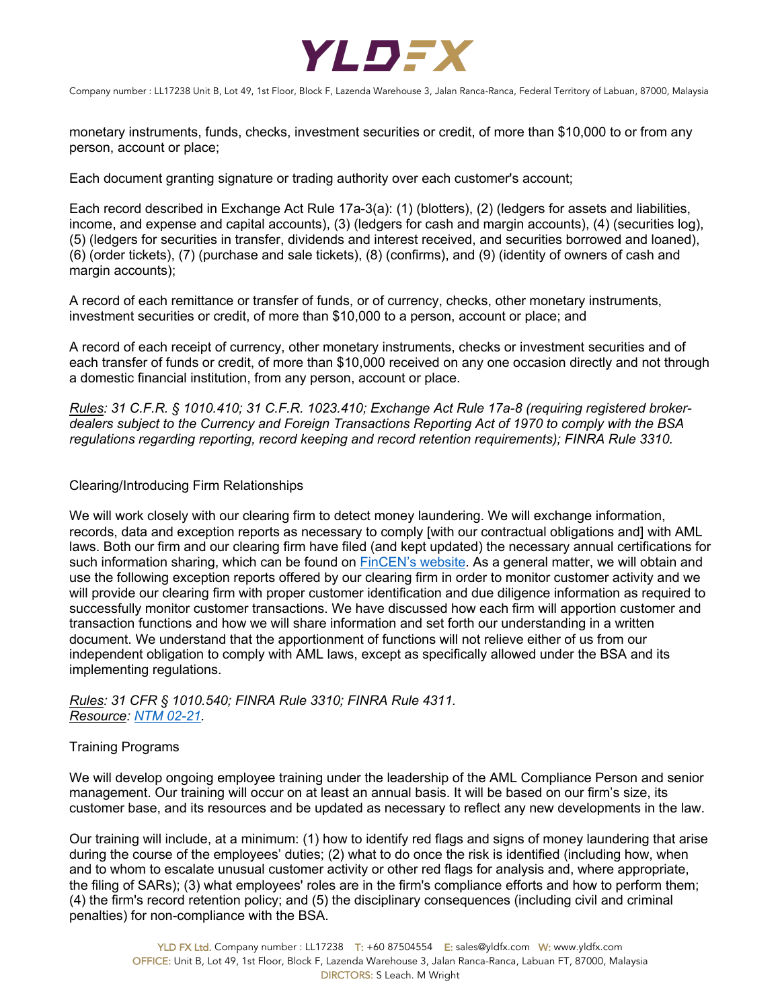

monetary instruments, funds, checks, investment securities or credit, of more than \$10,000 to or from any person, account or place;

Each document granting signature or trading authority over each customer's account;

Each record described in Exchange Act Rule 17a-3(a): (1) (blotters), (2) (ledgers for assets and liabilities, income, and expense and capital accounts), (3) (ledgers for cash and margin accounts), (4) (securities log), (5) (ledgers for securities in transfer, dividends and interest received, and securities borrowed and loaned), (6) (order tickets), (7) (purchase and sale tickets), (8) (confirms), and (9) (identity of owners of cash and margin accounts);

A record of each remittance or transfer of funds, or of currency, checks, other monetary instruments, investment securities or credit, of more than \$10,000 to a person, account or place; and

A record of each receipt of currency, other monetary instruments, checks or investment securities and of each transfer of funds or credit, of more than \$10,000 received on any one occasion directly and not through a domestic financial institution, from any person, account or place.

*Rules: 31 C.F.R. § 1010.410; 31 C.F.R. 1023.410; Exchange Act Rule 17a-8 (requiring registered brokerdealers subject to the Currency and Foreign Transactions Reporting Act of 1970 to comply with the BSA regulations regarding reporting, record keeping and record retention requirements); FINRA Rule 3310.*

## Clearing/Introducing Firm Relationships

We will work closely with our clearing firm to detect money laundering. We will exchange information, records, data and exception reports as necessary to comply [with our contractual obligations and] with AML laws. Both our firm and our clearing firm have filed (and kept updated) the necessary annual certifications for such information sharing, which can be found on FinCEN's website. As a general matter, we will obtain and use the following exception reports offered by our clearing firm in order to monitor customer activity and we will provide our clearing firm with proper customer identification and due diligence information as required to successfully monitor customer transactions. We have discussed how each firm will apportion customer and transaction functions and how we will share information and set forth our understanding in a written document. We understand that the apportionment of functions will not relieve either of us from our independent obligation to comply with AML laws, except as specifically allowed under the BSA and its implementing regulations.

*Rules: 31 CFR § 1010.540; FINRA Rule 3310; FINRA Rule 4311. Resource: NTM 02-21.*

#### Training Programs

We will develop ongoing employee training under the leadership of the AML Compliance Person and senior management. Our training will occur on at least an annual basis. It will be based on our firm's size, its customer base, and its resources and be updated as necessary to reflect any new developments in the law.

Our training will include, at a minimum: (1) how to identify red flags and signs of money laundering that arise during the course of the employees' duties; (2) what to do once the risk is identified (including how, when and to whom to escalate unusual customer activity or other red flags for analysis and, where appropriate, the filing of SARs); (3) what employees' roles are in the firm's compliance efforts and how to perform them; (4) the firm's record retention policy; and (5) the disciplinary consequences (including civil and criminal penalties) for non-compliance with the BSA.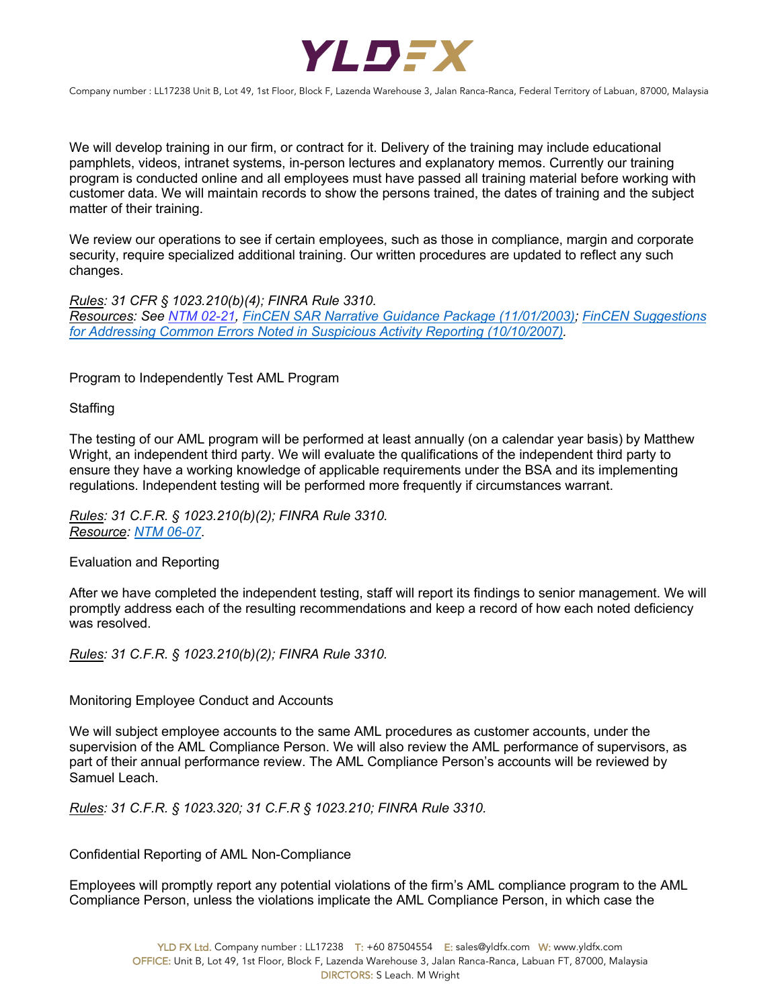

We will develop training in our firm, or contract for it. Delivery of the training may include educational pamphlets, videos, intranet systems, in-person lectures and explanatory memos. Currently our training program is conducted online and all employees must have passed all training material before working with customer data. We will maintain records to show the persons trained, the dates of training and the subject matter of their training.

We review our operations to see if certain employees, such as those in compliance, margin and corporate security, require specialized additional training. Our written procedures are updated to reflect any such changes.

*Rules: 31 CFR § 1023.210(b)(4); FINRA Rule 3310. Resources: See NTM 02-21, FinCEN SAR Narrative Guidance Package (11/01/2003); FinCEN Suggestions for Addressing Common Errors Noted in Suspicious Activity Reporting (10/10/2007).* 

Program to Independently Test AML Program

**Staffing** 

The testing of our AML program will be performed at least annually (on a calendar year basis) by Matthew Wright, an independent third party. We will evaluate the qualifications of the independent third party to ensure they have a working knowledge of applicable requirements under the BSA and its implementing regulations. Independent testing will be performed more frequently if circumstances warrant.

*Rules: 31 C.F.R. § 1023.210(b)(2); FINRA Rule 3310. Resource: NTM 06-07*.

Evaluation and Reporting

After we have completed the independent testing, staff will report its findings to senior management. We will promptly address each of the resulting recommendations and keep a record of how each noted deficiency was resolved.

*Rules: 31 C.F.R. § 1023.210(b)(2); FINRA Rule 3310.*

Monitoring Employee Conduct and Accounts

We will subject employee accounts to the same AML procedures as customer accounts, under the supervision of the AML Compliance Person. We will also review the AML performance of supervisors, as part of their annual performance review. The AML Compliance Person's accounts will be reviewed by Samuel Leach.

*Rules: 31 C.F.R. § 1023.320; 31 C.F.R § 1023.210; FINRA Rule 3310.*

Confidential Reporting of AML Non-Compliance

Employees will promptly report any potential violations of the firm's AML compliance program to the AML Compliance Person, unless the violations implicate the AML Compliance Person, in which case the